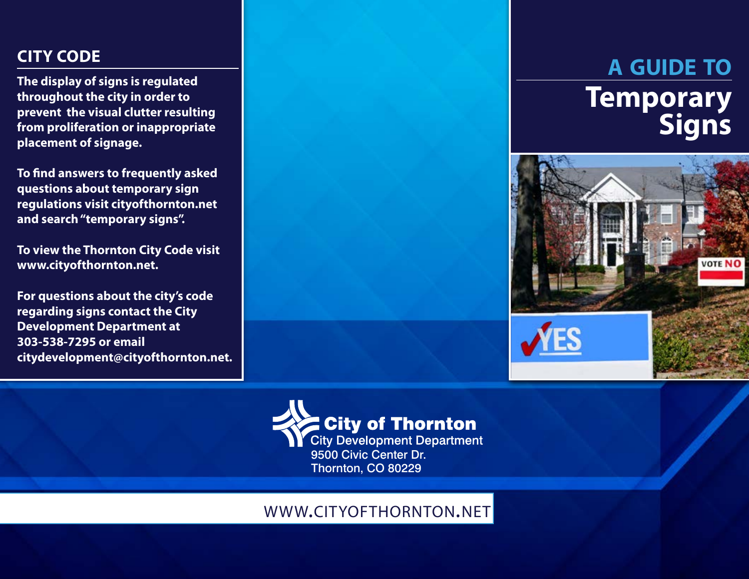## **CITY CODE**

**The display of signs is regulated throughout the city in order to prevent the visual clutter resulting from proliferation or inappropriate placement of signage.**

**To find answers to frequently asked questions about temporary sign regulations visit cityofthornton.net and search "temporary signs".** 

**To view the Thornton City Code visit www.cityofthornton.net.** 

**For questions about the city's code regarding signs contact the City Development Department at 303-538-7295 or email citydevelopment@cityofthornton.net.**

# **a guide to Temporary Signs**





### www.cityofthornton.net